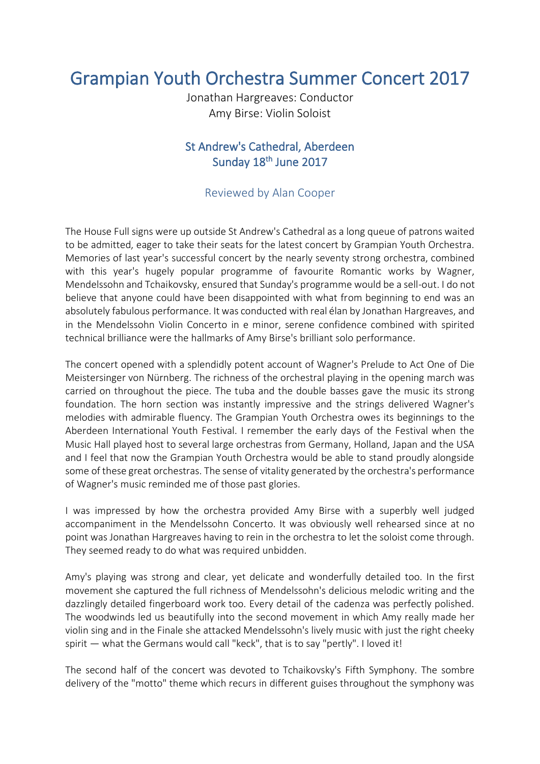## Grampian Youth Orchestra Summer Concert 2017

Jonathan Hargreaves: Conductor Amy Birse: Violin Soloist

## St Andrew's Cathedral, Aberdeen Sunday 18<sup>th</sup> June 2017

## Reviewed by Alan Cooper

The House Full signs were up outside St Andrew's Cathedral as a long queue of patrons waited to be admitted, eager to take their seats for the latest concert by Grampian Youth Orchestra. Memories of last year's successful concert by the nearly seventy strong orchestra, combined with this year's hugely popular programme of favourite Romantic works by Wagner, Mendelssohn and Tchaikovsky, ensured that Sunday's programme would be a sell-out. I do not believe that anyone could have been disappointed with what from beginning to end was an absolutely fabulous performance. It was conducted with real élan by Jonathan Hargreaves, and in the Mendelssohn Violin Concerto in e minor, serene confidence combined with spirited technical brilliance were the hallmarks of Amy Birse's brilliant solo performance.

The concert opened with a splendidly potent account of Wagner's Prelude to Act One of Die Meistersinger von Nürnberg. The richness of the orchestral playing in the opening march was carried on throughout the piece. The tuba and the double basses gave the music its strong foundation. The horn section was instantly impressive and the strings delivered Wagner's melodies with admirable fluency. The Grampian Youth Orchestra owes its beginnings to the Aberdeen International Youth Festival. I remember the early days of the Festival when the Music Hall played host to several large orchestras from Germany, Holland, Japan and the USA and I feel that now the Grampian Youth Orchestra would be able to stand proudly alongside some of these great orchestras. The sense of vitality generated by the orchestra's performance of Wagner's music reminded me of those past glories.

I was impressed by how the orchestra provided Amy Birse with a superbly well judged accompaniment in the Mendelssohn Concerto. It was obviously well rehearsed since at no point was Jonathan Hargreaves having to rein in the orchestra to let the soloist come through. They seemed ready to do what was required unbidden.

Amy's playing was strong and clear, yet delicate and wonderfully detailed too. In the first movement she captured the full richness of Mendelssohn's delicious melodic writing and the dazzlingly detailed fingerboard work too. Every detail of the cadenza was perfectly polished. The woodwinds led us beautifully into the second movement in which Amy really made her violin sing and in the Finale she attacked Mendelssohn's lively music with just the right cheeky spirit — what the Germans would call "keck", that is to say "pertly". I loved it!

The second half of the concert was devoted to Tchaikovsky's Fifth Symphony. The sombre delivery of the "motto" theme which recurs in different guises throughout the symphony was